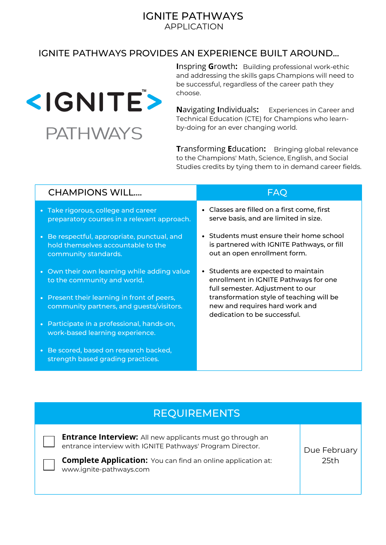## IGNITE PATHWAYS APPLICATION

## IGNITE PATHWAYS PROVIDES AN EXPERIENCE BUILT AROUND...



**I**nspring **G**rowth**:** Building professional work-ethic and addressing the skills gaps Champions will need to be successful, regardless of the career path they choose.

**N**avigating **I**ndividuals**:** Experiences in Career and Technical Education (CTE) for Champions who learnby-doing for an ever changing world.

**T**ransforming **E**ducation**:** Bringing global relevance to the Champions' Math, Science, English, and Social Studies credits by tying them to in demand career fields.

| <b>CHAMPIONS WILL</b>                                                                                     | FAQ                                                                                                                                                                                                                          |
|-----------------------------------------------------------------------------------------------------------|------------------------------------------------------------------------------------------------------------------------------------------------------------------------------------------------------------------------------|
| • Take rigorous, college and career<br>preparatory courses in a relevant approach.                        | • Classes are filled on a first come, first<br>serve basis, and are limited in size.                                                                                                                                         |
| • Be respectful, appropriate, punctual, and<br>hold themselves accountable to the<br>community standards. | • Students must ensure their home school<br>is partnered with IGNITE Pathways, or fill<br>out an open enrollment form.                                                                                                       |
| • Own their own learning while adding value<br>to the community and world.                                | Students are expected to maintain<br>enrollment in IGNITE Pathways for one<br>full semester. Adjustment to our<br>transformation style of teaching will be<br>new and requires hard work and<br>dedication to be successful. |
| • Present their learning in front of peers,<br>community partners, and guests/visitors.                   |                                                                                                                                                                                                                              |
| • Participate in a professional, hands-on,<br>work-based learning experience.                             |                                                                                                                                                                                                                              |
| • Be scored, based on research backed,<br>strength based grading practices.                               |                                                                                                                                                                                                                              |

## REQUIREMENTS

**Entrance Interview:** All new applicants must go through an entrance interview with IGNITE Pathways' Program Director. **Complete Application:** You can find an online application at: www.ignite-pathways.com Due February 25th